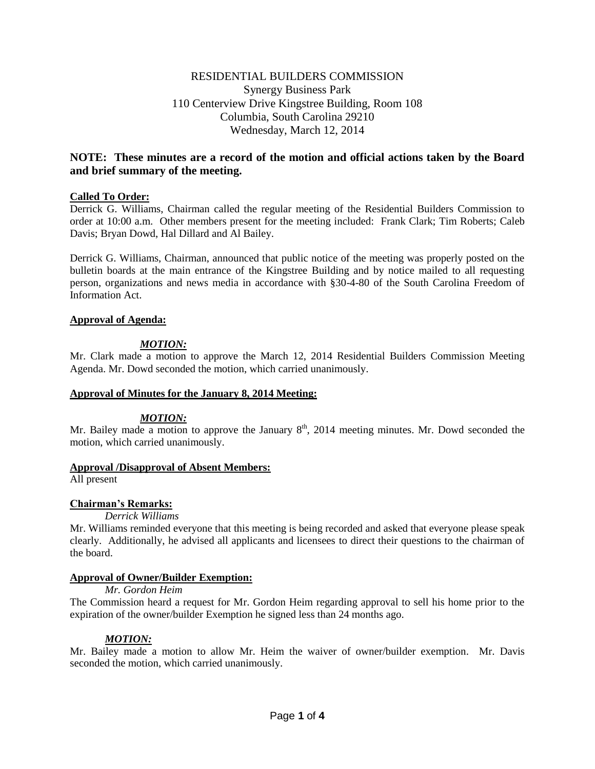# RESIDENTIAL BUILDERS COMMISSION Synergy Business Park 110 Centerview Drive Kingstree Building, Room 108 Columbia, South Carolina 29210 Wednesday, March 12, 2014

# **NOTE: These minutes are a record of the motion and official actions taken by the Board and brief summary of the meeting.**

### **Called To Order:**

Derrick G. Williams, Chairman called the regular meeting of the Residential Builders Commission to order at 10:00 a.m. Other members present for the meeting included: Frank Clark; Tim Roberts; Caleb Davis; Bryan Dowd, Hal Dillard and Al Bailey.

Derrick G. Williams, Chairman, announced that public notice of the meeting was properly posted on the bulletin boards at the main entrance of the Kingstree Building and by notice mailed to all requesting person, organizations and news media in accordance with §30-4-80 of the South Carolina Freedom of Information Act.

### **Approval of Agenda:**

## *MOTION:*

Mr. Clark made a motion to approve the March 12, 2014 Residential Builders Commission Meeting Agenda. Mr. Dowd seconded the motion, which carried unanimously.

### **Approval of Minutes for the January 8, 2014 Meeting:**

### *MOTION:*

Mr. Bailey made a motion to approve the January  $8<sup>th</sup>$ , 2014 meeting minutes. Mr. Dowd seconded the motion, which carried unanimously.

### **Approval /Disapproval of Absent Members:**

All present

### **Chairman's Remarks:**

### *Derrick Williams*

Mr. Williams reminded everyone that this meeting is being recorded and asked that everyone please speak clearly. Additionally, he advised all applicants and licensees to direct their questions to the chairman of the board.

### **Approval of Owner/Builder Exemption:**

### *Mr. Gordon Heim*

The Commission heard a request for Mr. Gordon Heim regarding approval to sell his home prior to the expiration of the owner/builder Exemption he signed less than 24 months ago.

### *MOTION:*

Mr. Bailey made a motion to allow Mr. Heim the waiver of owner/builder exemption. Mr. Davis seconded the motion, which carried unanimously.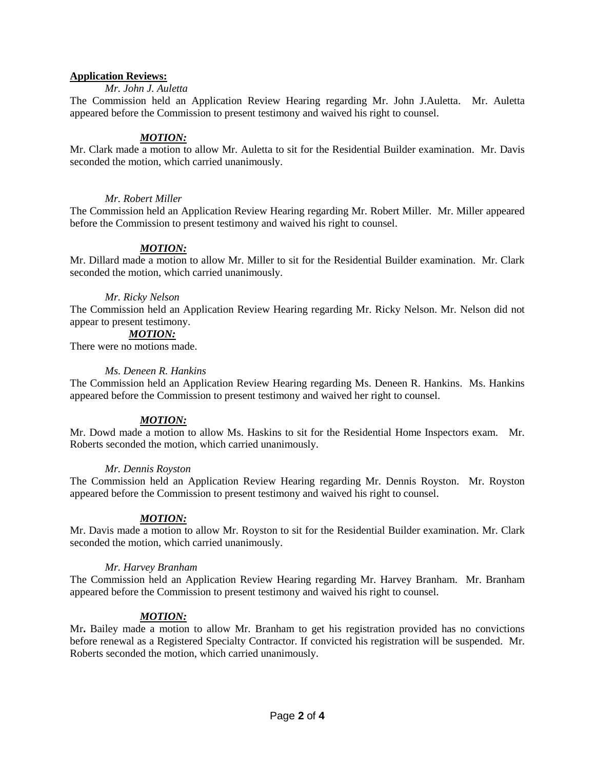### **Application Reviews:**

#### *Mr. John J. Auletta*

The Commission held an Application Review Hearing regarding Mr. John J.Auletta. Mr. Auletta appeared before the Commission to present testimony and waived his right to counsel.

#### *MOTION:*

Mr. Clark made a motion to allow Mr. Auletta to sit for the Residential Builder examination. Mr. Davis seconded the motion, which carried unanimously.

#### *Mr. Robert Miller*

The Commission held an Application Review Hearing regarding Mr. Robert Miller. Mr. Miller appeared before the Commission to present testimony and waived his right to counsel.

### *MOTION:*

Mr. Dillard made a motion to allow Mr. Miller to sit for the Residential Builder examination. Mr. Clark seconded the motion, which carried unanimously.

#### *Mr. Ricky Nelson*

The Commission held an Application Review Hearing regarding Mr. Ricky Nelson. Mr. Nelson did not appear to present testimony.

### *MOTION:*

There were no motions made.

#### *Ms. Deneen R. Hankins*

The Commission held an Application Review Hearing regarding Ms. Deneen R. Hankins. Ms. Hankins appeared before the Commission to present testimony and waived her right to counsel.

### *MOTION:*

Mr. Dowd made a motion to allow Ms. Haskins to sit for the Residential Home Inspectors exam. Mr. Roberts seconded the motion, which carried unanimously.

#### *Mr. Dennis Royston*

The Commission held an Application Review Hearing regarding Mr. Dennis Royston. Mr. Royston appeared before the Commission to present testimony and waived his right to counsel.

### *MOTION:*

Mr. Davis made a motion to allow Mr. Royston to sit for the Residential Builder examination. Mr. Clark seconded the motion, which carried unanimously.

#### *Mr. Harvey Branham*

The Commission held an Application Review Hearing regarding Mr. Harvey Branham. Mr. Branham appeared before the Commission to present testimony and waived his right to counsel.

### *MOTION:*

Mr**.** Bailey made a motion to allow Mr. Branham to get his registration provided has no convictions before renewal as a Registered Specialty Contractor. If convicted his registration will be suspended. Mr. Roberts seconded the motion, which carried unanimously.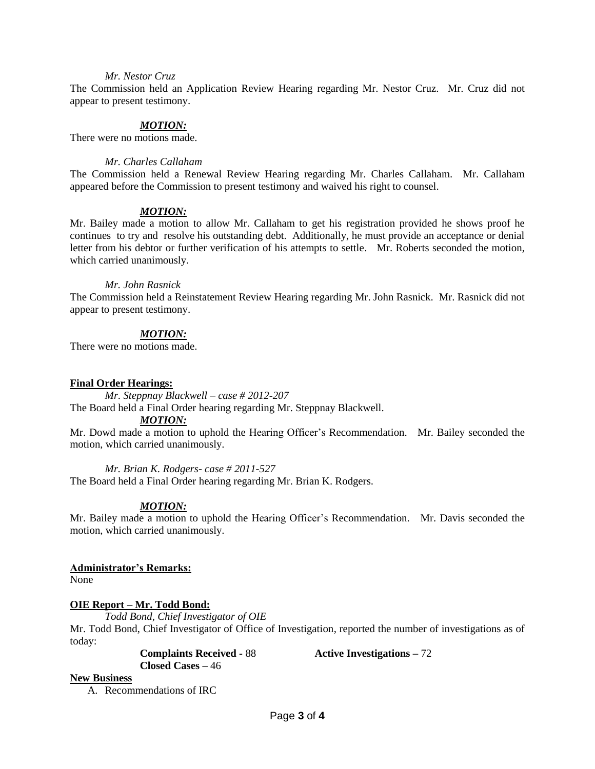#### *Mr. Nestor Cruz*

The Commission held an Application Review Hearing regarding Mr. Nestor Cruz. Mr. Cruz did not appear to present testimony.

### *MOTION:*

There were no motions made.

#### *Mr. Charles Callaham*

The Commission held a Renewal Review Hearing regarding Mr. Charles Callaham. Mr. Callaham appeared before the Commission to present testimony and waived his right to counsel.

### *MOTION:*

Mr. Bailey made a motion to allow Mr. Callaham to get his registration provided he shows proof he continues to try and resolve his outstanding debt. Additionally, he must provide an acceptance or denial letter from his debtor or further verification of his attempts to settle. Mr. Roberts seconded the motion, which carried unanimously.

### *Mr. John Rasnick*

The Commission held a Reinstatement Review Hearing regarding Mr. John Rasnick. Mr. Rasnick did not appear to present testimony.

### *MOTION:*

There were no motions made.

### **Final Order Hearings:**

*Mr. Steppnay Blackwell – case # 2012-207*

The Board held a Final Order hearing regarding Mr. Steppnay Blackwell.

#### *MOTION:*

Mr. Dowd made a motion to uphold the Hearing Officer's Recommendation. Mr. Bailey seconded the motion, which carried unanimously.

### *Mr. Brian K. Rodgers- case # 2011-527*

The Board held a Final Order hearing regarding Mr. Brian K. Rodgers.

### *MOTION:*

Mr. Bailey made a motion to uphold the Hearing Officer's Recommendation. Mr. Davis seconded the motion, which carried unanimously.

### **Administrator's Remarks:**

None

### **OIE Report – Mr. Todd Bond:**

*Todd Bond, Chief Investigator of OIE* Mr. Todd Bond, Chief Investigator of Office of Investigation, reported the number of investigations as of today:

**Closed Cases –** 46

**Complaints Received -** 88 **Active Investigations –** 72

### **New Business**

A. Recommendations of IRC